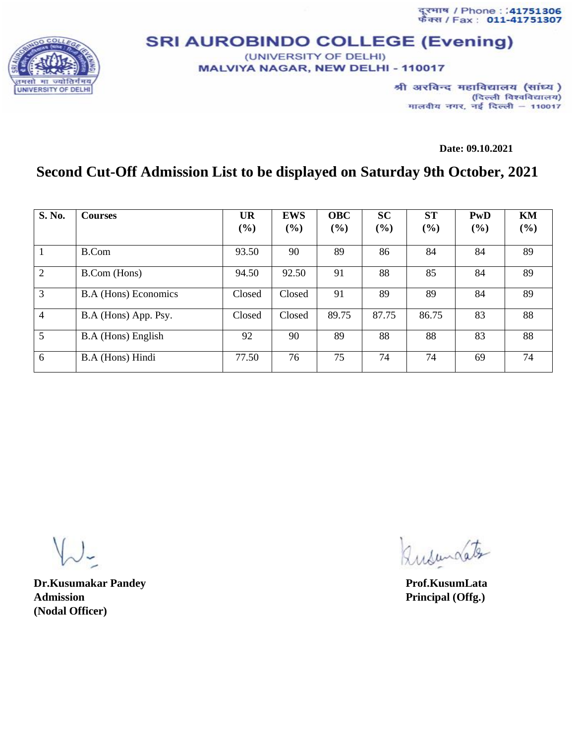दूरमाष / Phone : :<mark>41751306</mark><br>फँक्स / Fax : **011-41751307** 



## **SRI AUROBINDO COLLEGE (Evening)** (UNIVERSITY OF DELHI)

**MALVIYA NAGAR, NEW DELHI - 110017** 

श्री अरविन्द महाविद्यालय (सांध्य) (दिल्ली विश्वविद्यालय) मालवीय नगर, नई दिल्ली - 110017

**Date: 09.10.2021**

## **Second Cut-Off Admission List to be displayed on Saturday 9th October, 2021**

| S. No.         | <b>Courses</b>              | <b>UR</b> | <b>EWS</b> | <b>OBC</b> | <b>SC</b> | <b>ST</b> | PwD | KM  |
|----------------|-----------------------------|-----------|------------|------------|-----------|-----------|-----|-----|
|                |                             | (%)       | (%)        | (%)        | (%)       | (%)       | (%) | (%) |
|                | B.Com                       | 93.50     | 90         | 89         | 86        | 84        | 84  | 89  |
| 2              | B.Com (Hons)                | 94.50     | 92.50      | 91         | 88        | 85        | 84  | 89  |
| 3              | <b>B.A</b> (Hons) Economics | Closed    | Closed     | 91         | 89        | 89        | 84  | 89  |
| $\overline{4}$ | B.A (Hons) App. Psy.        | Closed    | Closed     | 89.75      | 87.75     | 86.75     | 83  | 88  |
| 5              | B.A (Hons) English          | 92        | 90         | 89         | 88        | 88        | 83  | 88  |
| 6              | B.A (Hons) Hindi            | 77.50     | 76         | 75         | 74        | 74        | 69  | 74  |

**Dr.Kusumakar Pandey Prof.KusumLata** Admission **Principal (Offg.) (Nodal Officer)**

Rusundate